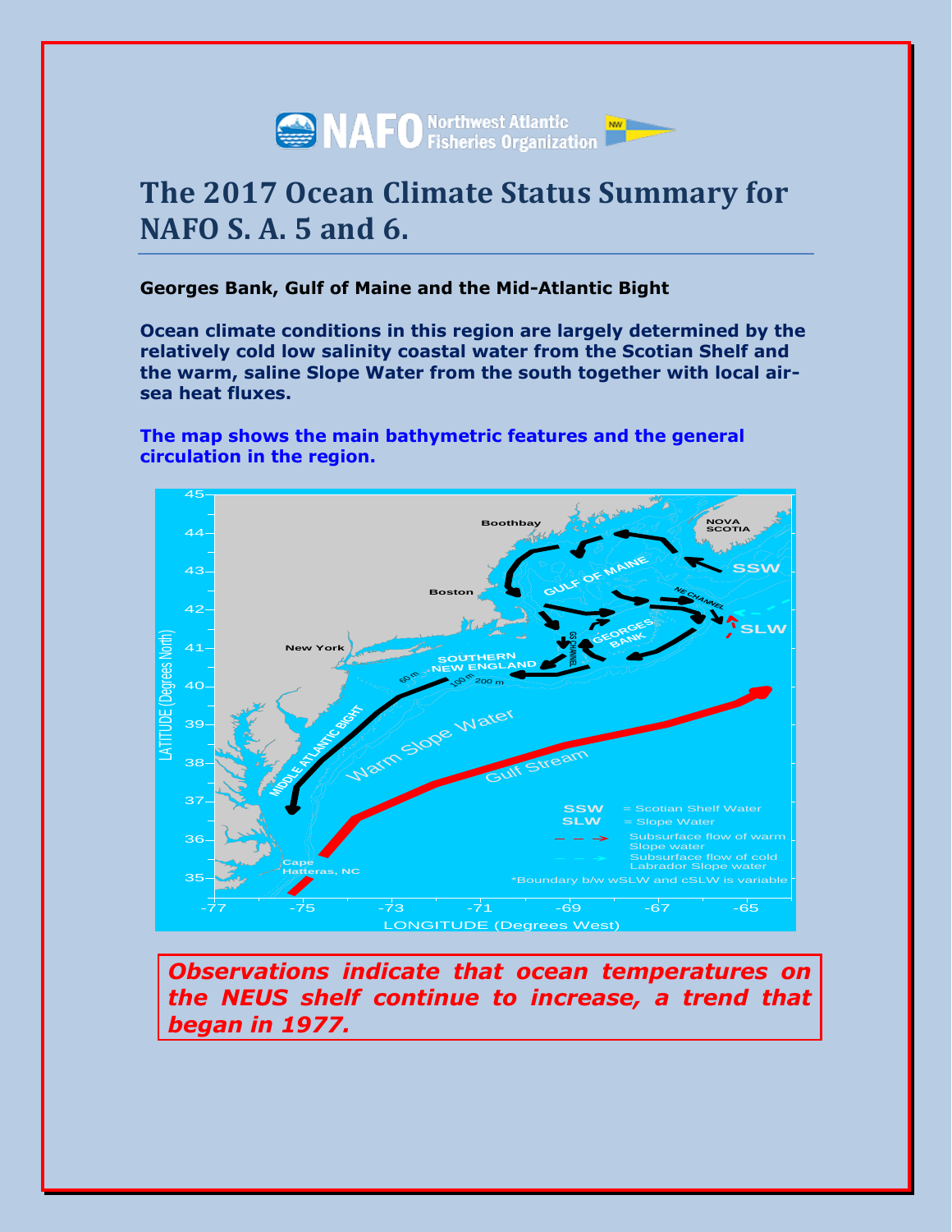

# **The 2017 Ocean Climate Status Summary for NAFO S. A. 5 and 6.**

# **Georges Bank, Gulf of Maine and the Mid-Atlantic Bight**

**Ocean climate conditions in this region are largely determined by the relatively cold low salinity coastal water from the Scotian Shelf and the warm, saline Slope Water from the south together with local airsea heat fluxes.**

**The map shows the main bathymetric features and the general circulation in the region.**



*Observations indicate that ocean temperatures on the NEUS shelf continue to increase, a trend that began in 1977.*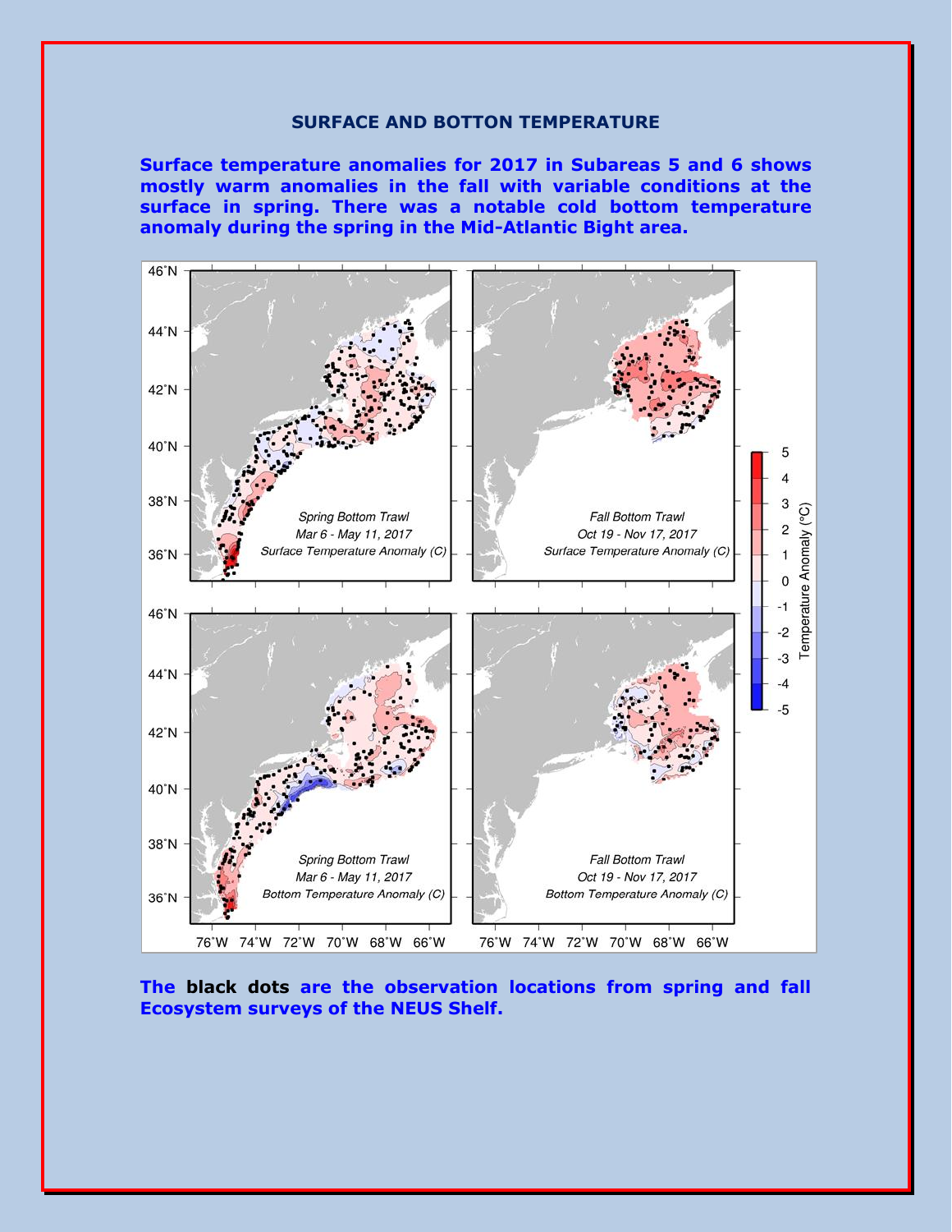## **SURFACE AND BOTTON TEMPERATURE**

**Surface temperature anomalies for 2017 in Subareas 5 and 6 shows mostly warm anomalies in the fall with variable conditions at the surface in spring. There was a notable cold bottom temperature anomaly during the spring in the Mid-Atlantic Bight area.** 



**The black dots are the observation locations from spring and fall Ecosystem surveys of the NEUS Shelf.**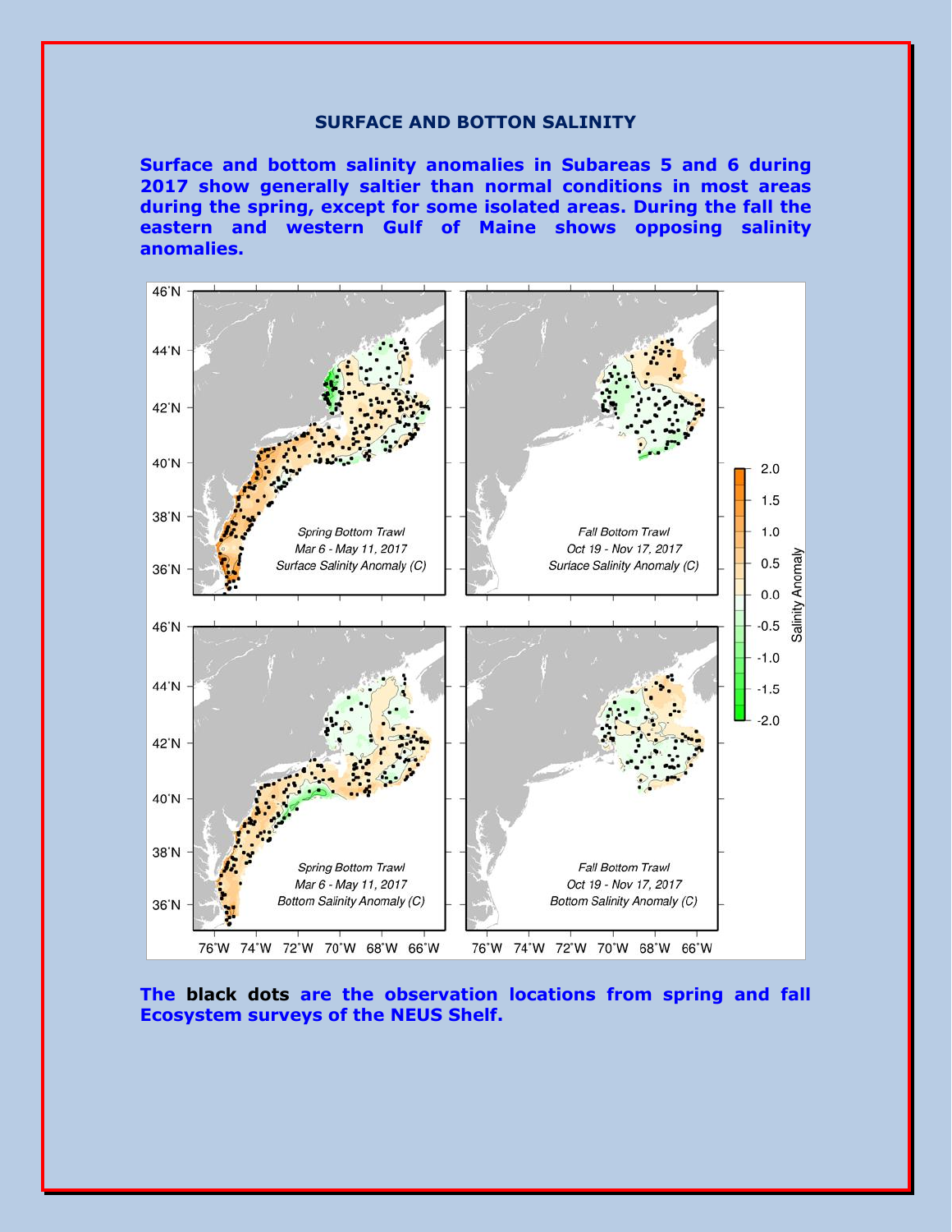## **SURFACE AND BOTTON SALINITY**

**Surface and bottom salinity anomalies in Subareas 5 and 6 during 2017 show generally saltier than normal conditions in most areas during the spring, except for some isolated areas. During the fall the eastern and western Gulf of Maine shows opposing salinity anomalies.**



**The black dots are the observation locations from spring and fall Ecosystem surveys of the NEUS Shelf.**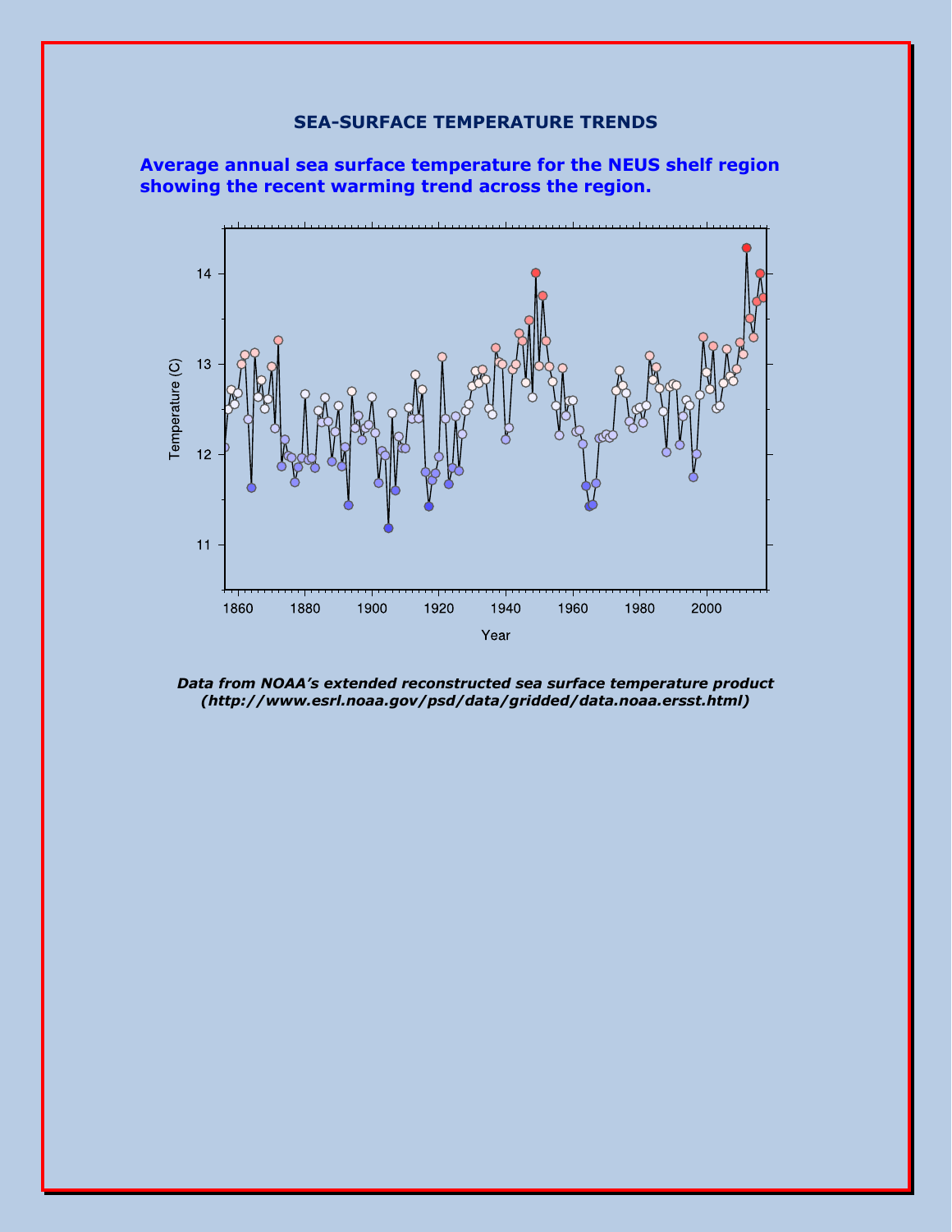# **SEA-SURFACE TEMPERATURE TRENDS**





*Data from NOAA's extended reconstructed sea surface temperature product (http://www.esrl.noaa.gov/psd/data/gridded/data.noaa.ersst.html)*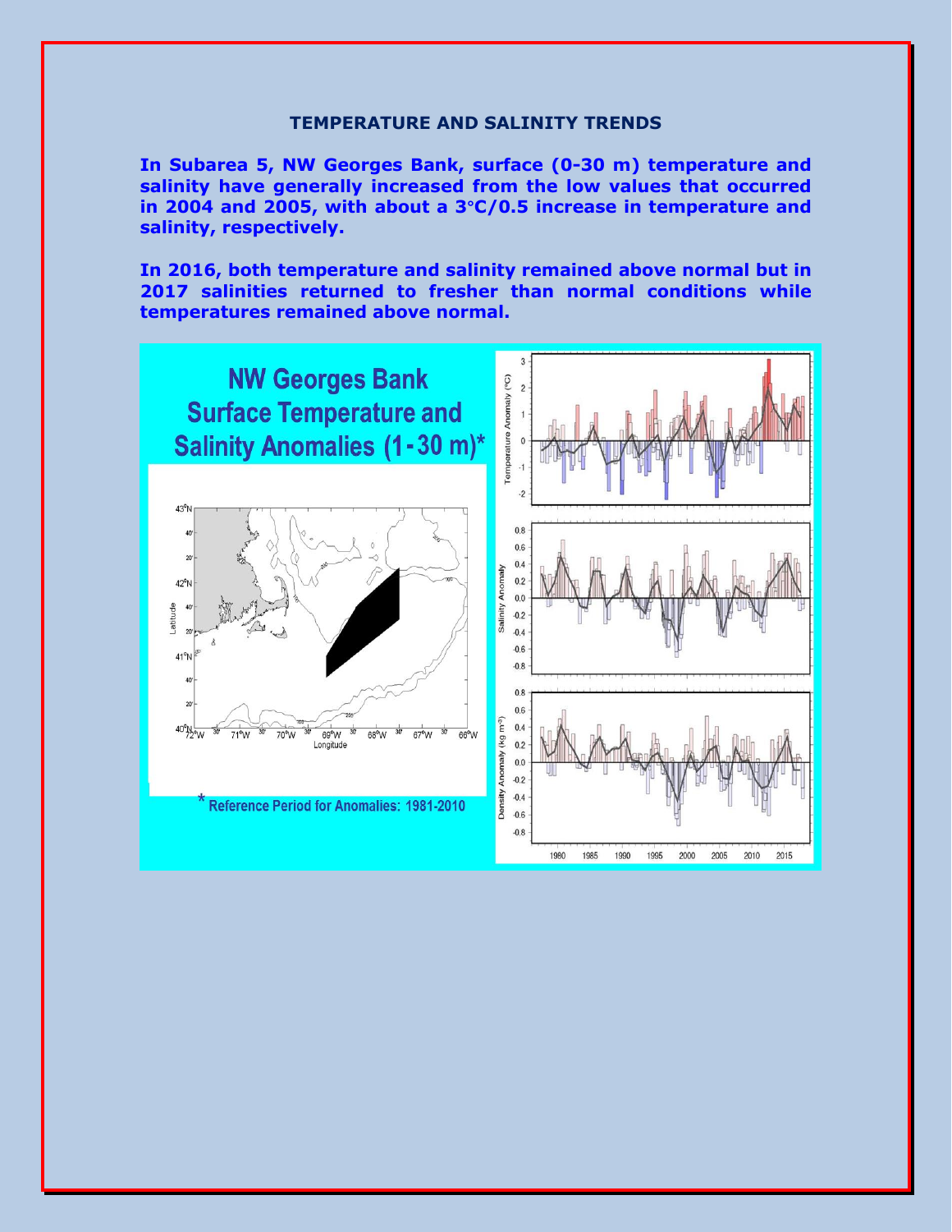#### **TEMPERATURE AND SALINITY TRENDS**

**In Subarea 5, NW Georges Bank, surface (0-30 m) temperature and salinity have generally increased from the low values that occurred in 2004 and 2005, with about a 3°C/0.5 increase in temperature and salinity, respectively.**

**In 2016, both temperature and salinity remained above normal but in 2017 salinities returned to fresher than normal conditions while temperatures remained above normal.**